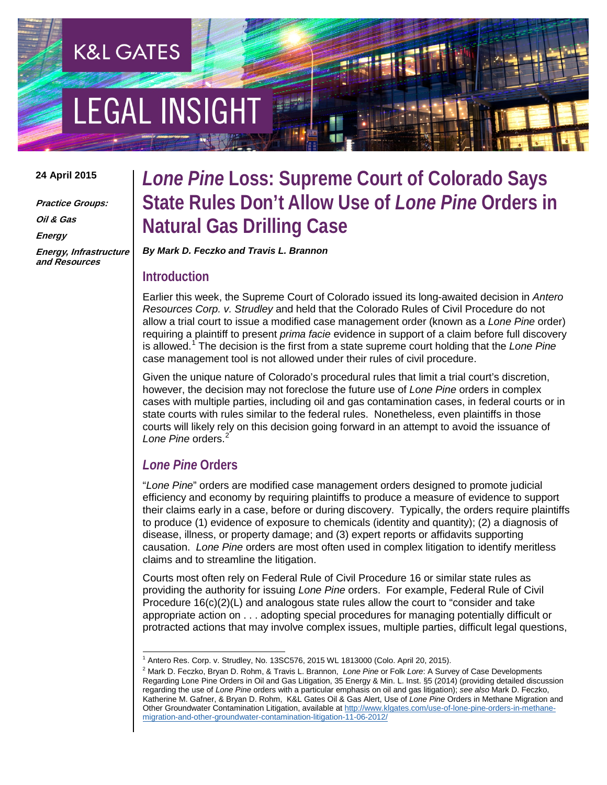# **EGAL INSIGHT**

**K&L GATES** 

#### **24 April 2015**

**Practice Groups: Oil & Gas Energy Energy, Infrastructure and Resources**

### *Lone Pine* **Loss: Supreme Court of Colorado Says State Rules Don't Allow Use of** *Lone Pine* **Orders in Natural Gas Drilling Case**

*By Mark D. Feczko and Travis L. Brannon*

#### **Introduction**

Earlier this week, the Supreme Court of Colorado issued its long-awaited decision in *Antero Resources Corp. v. Strudley* and held that the Colorado Rules of Civil Procedure do not allow a trial court to issue a modified case management order (known as a *Lone Pine* order) requiring a plaintiff to present *prima facie* evidence in support of a claim before full discovery is allowed.[1](#page-0-0) The decision is the first from a state supreme court holding that the *Lone Pine* case management tool is not allowed under their rules of civil procedure.

Given the unique nature of Colorado's procedural rules that limit a trial court's discretion, however, the decision may not foreclose the future use of *Lone Pine* orders in complex cases with multiple parties, including oil and gas contamination cases, in federal courts or in state courts with rules similar to the federal rules. Nonetheless, even plaintiffs in those courts will likely rely on this decision going forward in an attempt to avoid the issuance of Lone Pine orders.<sup>[2](#page-0-1)</sup>

### *Lone Pine* **Orders**

"*Lone Pine*" orders are modified case management orders designed to promote judicial efficiency and economy by requiring plaintiffs to produce a measure of evidence to support their claims early in a case, before or during discovery. Typically, the orders require plaintiffs to produce (1) evidence of exposure to chemicals (identity and quantity); (2) a diagnosis of disease, illness, or property damage; and (3) expert reports or affidavits supporting causation. *Lone Pine* orders are most often used in complex litigation to identify meritless claims and to streamline the litigation.

Courts most often rely on Federal Rule of Civil Procedure 16 or similar state rules as providing the authority for issuing *Lone Pine* orders. For example, Federal Rule of Civil Procedure  $16(c)(2)(L)$  and analogous state rules allow the court to "consider and take" appropriate action on . . . adopting special procedures for managing potentially difficult or protracted actions that may involve complex issues, multiple parties, difficult legal questions,

<span id="page-0-0"></span><sup>&</sup>lt;sup>1</sup> Antero Res. Corp. v. Strudley, No. 13SC576, 2015 WL 1813000 (Colo. April 20, 2015).<br><sup>2</sup> Mark D. Feczko, Bryan D. Rohm, & Travis L. Brannon, *Lone Pine* or Folk *Lore*: A Survey of Case Developments

<span id="page-0-1"></span>Regarding Lone Pine Orders in Oil and Gas Litigation, 35 Energy & Min. L. Inst. §5 (2014) (providing detailed discussion regarding the use of *Lone Pine* orders with a particular emphasis on oil and gas litigation); *see also* Mark D. Feczko, Katherine M. Gafner, & Bryan D. Rohm, K&L Gates Oil & Gas Alert, Use of *Lone Pine* Orders in Methane Migration and Other Groundwater Contamination Litigation, available a[t http://www.klgates.com/use-of-lone-pine-orders-in-methane](http://www.klgates.com/use-of-lone-pine-orders-in-methane-migration-and-other-groundwater-contamination-litigation-11-06-2012/)[migration-and-other-groundwater-contamination-litigation-11-06-2012/](http://www.klgates.com/use-of-lone-pine-orders-in-methane-migration-and-other-groundwater-contamination-litigation-11-06-2012/)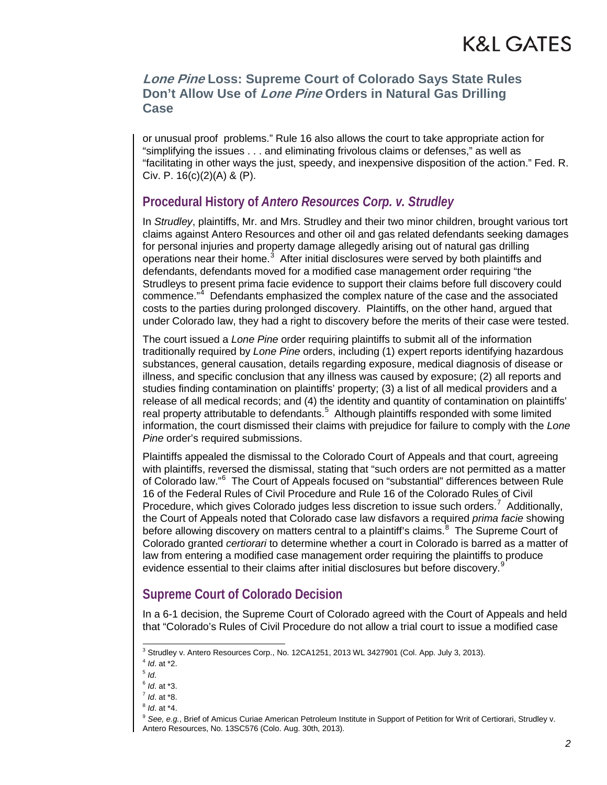### **Lone Pine Loss: Supreme Court of Colorado Says State Rules Don't Allow Use of Lone Pine Orders in Natural Gas Drilling Case**

or unusual proof problems." Rule 16 also allows the court to take appropriate action for "simplifying the issues . . . and eliminating frivolous claims or defenses," as well as "facilitating in other ways the just, speedy, and inexpensive disposition of the action." Fed. R. Civ. P. 16(c)(2)(A) & (P).

### **Procedural History of** *Antero Resources Corp. v. Strudley*

In *Strudley*, plaintiffs, Mr. and Mrs. Strudley and their two minor children, brought various tort claims against Antero Resources and other oil and gas related defendants seeking damages for personal injuries and property damage allegedly arising out of natural gas drilling operations near their home. $3$  After initial disclosures were served by both plaintiffs and defendants, defendants moved for a modified case management order requiring "the Strudleys to present prima facie evidence to support their claims before full discovery could commence."<sup>[4](#page-1-1)</sup> Defendants emphasized the complex nature of the case and the associated costs to the parties during prolonged discovery. Plaintiffs, on the other hand, argued that under Colorado law, they had a right to discovery before the merits of their case were tested.

The court issued a *Lone Pine* order requiring plaintiffs to submit all of the information traditionally required by *Lone Pine* orders, including (1) expert reports identifying hazardous substances, general causation, details regarding exposure, medical diagnosis of disease or illness, and specific conclusion that any illness was caused by exposure; (2) all reports and studies finding contamination on plaintiffs' property; (3) a list of all medical providers and a release of all medical records; and (4) the identity and quantity of contamination on plaintiffs' real property attributable to defendants.<sup>[5](#page-1-2)</sup> Although plaintiffs responded with some limited information, the court dismissed their claims with prejudice for failure to comply with the *Lone Pine* order's required submissions.

Plaintiffs appealed the dismissal to the Colorado Court of Appeals and that court, agreeing with plaintiffs, reversed the dismissal, stating that "such orders are not permitted as a matter of Colorado law."<sup>[6](#page-1-3)</sup> The Court of Appeals focused on "substantial" differences between Rule 16 of the Federal Rules of Civil Procedure and Rule 16 of the Colorado Rules of Civil Procedure, which gives Colorado judges less discretion to issue such orders.<sup>[7](#page-1-4)</sup> Additionally, the Court of Appeals noted that Colorado case law disfavors a required *prima facie* showing before allowing discovery on matters central to a plaintiff's claims.<sup>[8](#page-1-5)</sup> The Supreme Court of Colorado granted *certiorari* to determine whether a court in Colorado is barred as a matter of law from entering a modified case management order requiring the plaintiffs to produce evidence essential to their claims after initial disclosures but before discovery.<sup>[9](#page-1-6)</sup>

### **Supreme Court of Colorado Decision**

In a 6-1 decision, the Supreme Court of Colorado agreed with the Court of Appeals and held that "Colorado's Rules of Civil Procedure do not allow a trial court to issue a modified case

<sup>&</sup>lt;sup>3</sup> Strudley v. Antero Resources Corp., No. 12CA1251, 2013 WL 3427901 (Col. App. July 3, 2013).

<span id="page-1-1"></span><span id="page-1-0"></span><sup>4</sup> *Id*. at \*2.

<span id="page-1-2"></span><sup>5</sup> *Id*.

<span id="page-1-3"></span><sup>6</sup> *Id*. at \*3.

<sup>7</sup> *Id*. at \*8.

<span id="page-1-5"></span><span id="page-1-4"></span><sup>8</sup> *Id*. at \*4.

<span id="page-1-6"></span><sup>9</sup> *See, e.g.*, Brief of Amicus Curiae American Petroleum Institute in Support of Petition for Writ of Certiorari, Strudley v. Antero Resources, No. 13SC576 (Colo. Aug. 30th, 2013).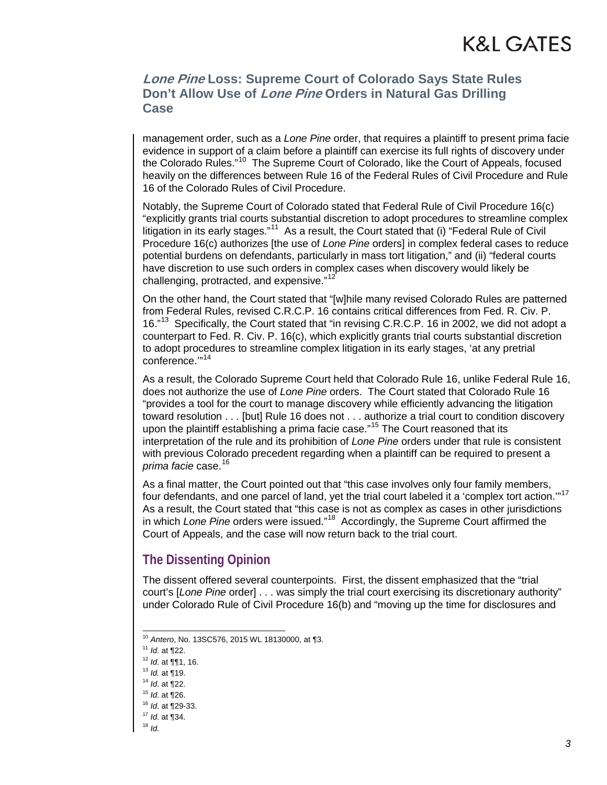### K&L GATES

### **Lone Pine Loss: Supreme Court of Colorado Says State Rules Don't Allow Use of Lone Pine Orders in Natural Gas Drilling Case**

management order, such as a *Lone Pine* order, that requires a plaintiff to present prima facie evidence in support of a claim before a plaintiff can exercise its full rights of discovery under the Colorado Rules."[10](#page-2-0) The Supreme Court of Colorado, like the Court of Appeals, focused heavily on the differences between Rule 16 of the Federal Rules of Civil Procedure and Rule 16 of the Colorado Rules of Civil Procedure.

Notably, the Supreme Court of Colorado stated that Federal Rule of Civil Procedure 16(c) "explicitly grants trial courts substantial discretion to adopt procedures to streamline complex litigation in its early stages."<sup>[11](#page-2-1)</sup> As a result, the Court stated that (i) "Federal Rule of Civil Procedure 16(c) authorizes [the use of *Lone Pine* orders] in complex federal cases to reduce potential burdens on defendants, particularly in mass tort litigation," and (ii) "federal courts have discretion to use such orders in complex cases when discovery would likely be challenging, protracted, and expensive."<sup>[12](#page-2-2)</sup>

On the other hand, the Court stated that "[w]hile many revised Colorado Rules are patterned from Federal Rules, revised C.R.C.P. 16 contains critical differences from Fed. R. Civ. P. 16."<sup>[13](#page-2-3)</sup> Specifically, the Court stated that "in revising C.R.C.P. 16 in 2002, we did not adopt a counterpart to Fed. R. Civ. P. 16(c), which explicitly grants trial courts substantial discretion to adopt procedures to streamline complex litigation in its early stages, 'at any pretrial conference."<sup>14</sup>

As a result, the Colorado Supreme Court held that Colorado Rule 16, unlike Federal Rule 16, does not authorize the use of *Lone Pine* orders. The Court stated that Colorado Rule 16 "provides a tool for the court to manage discovery while efficiently advancing the litigation toward resolution . . . [but] Rule 16 does not . . . authorize a trial court to condition discovery upon the plaintiff establishing a prima facie case."<sup>[15](#page-2-5)</sup> The Court reasoned that its interpretation of the rule and its prohibition of *Lone Pine* orders under that rule is consistent with previous Colorado precedent regarding when a plaintiff can be required to present a *prima facie* case.[16](#page-2-6)

As a final matter, the Court pointed out that "this case involves only four family members, four defendants, and one parcel of land, yet the trial court labeled it a 'complex tort action."<sup>[17](#page-2-7)</sup> As a result, the Court stated that "this case is not as complex as cases in other jurisdictions in which *Lone Pine* orders were issued."[18](#page-2-8) Accordingly, the Supreme Court affirmed the Court of Appeals, and the case will now return back to the trial court.

### **The Dissenting Opinion**

The dissent offered several counterpoints. First, the dissent emphasized that the "trial court's [*Lone Pine* order] . . . was simply the trial court exercising its discretionary authority" under Colorado Rule of Civil Procedure 16(b) and "moving up the time for disclosures and

 <sup>10</sup> *Antero*, No. 13SC576, 2015 WL 18130000, at ¶3.

<span id="page-2-1"></span><span id="page-2-0"></span><sup>11</sup> *Id*. at ¶22.

<span id="page-2-2"></span><sup>12</sup> *Id*. at ¶¶1, 16.

<span id="page-2-3"></span><sup>13</sup> *Id.* at ¶19. 14 *Id*. at ¶22.

<span id="page-2-5"></span><span id="page-2-4"></span><sup>15</sup> *Id*. at ¶26.

<span id="page-2-6"></span><sup>16</sup> *Id*. at ¶29-33.

<span id="page-2-7"></span><sup>17</sup> *Id*. at ¶34.

<span id="page-2-8"></span><sup>18</sup> *Id*.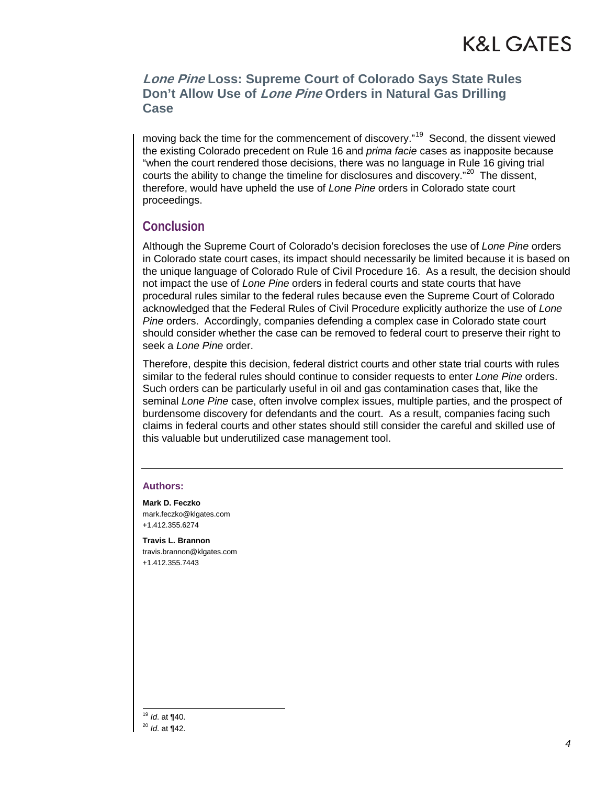### **Lone Pine Loss: Supreme Court of Colorado Says State Rules Don't Allow Use of Lone Pine Orders in Natural Gas Drilling Case**

moving back the time for the commencement of discovery."<sup>[19](#page-3-0)</sup> Second, the dissent viewed the existing Colorado precedent on Rule 16 and *prima facie* cases as inapposite because "when the court rendered those decisions, there was no language in Rule 16 giving trial courts the ability to change the timeline for disclosures and discovery."<sup>[20](#page-3-1)</sup> The dissent, therefore, would have upheld the use of *Lone Pine* orders in Colorado state court proceedings.

### **Conclusion**

Although the Supreme Court of Colorado's decision forecloses the use of *Lone Pine* orders in Colorado state court cases, its impact should necessarily be limited because it is based on the unique language of Colorado Rule of Civil Procedure 16. As a result, the decision should not impact the use of *Lone Pine* orders in federal courts and state courts that have procedural rules similar to the federal rules because even the Supreme Court of Colorado acknowledged that the Federal Rules of Civil Procedure explicitly authorize the use of *Lone Pine* orders. Accordingly, companies defending a complex case in Colorado state court should consider whether the case can be removed to federal court to preserve their right to seek a *Lone Pine* order.

Therefore, despite this decision, federal district courts and other state trial courts with rules similar to the federal rules should continue to consider requests to enter *Lone Pine* orders. Such orders can be particularly useful in oil and gas contamination cases that, like the seminal *Lone Pine* case, often involve complex issues, multiple parties, and the prospect of burdensome discovery for defendants and the court. As a result, companies facing such claims in federal courts and other states should still consider the careful and skilled use of this valuable but underutilized case management tool.

#### **Authors:**

**Mark D. Feczko** mark.feczko@klgates.com +1.412.355.6274

**Travis L. Brannon** travis.brannon@klgates.com +1.412.355.7443

<span id="page-3-1"></span><span id="page-3-0"></span> 19 *Id*. at ¶40. <sup>20</sup> *Id*. at ¶42.